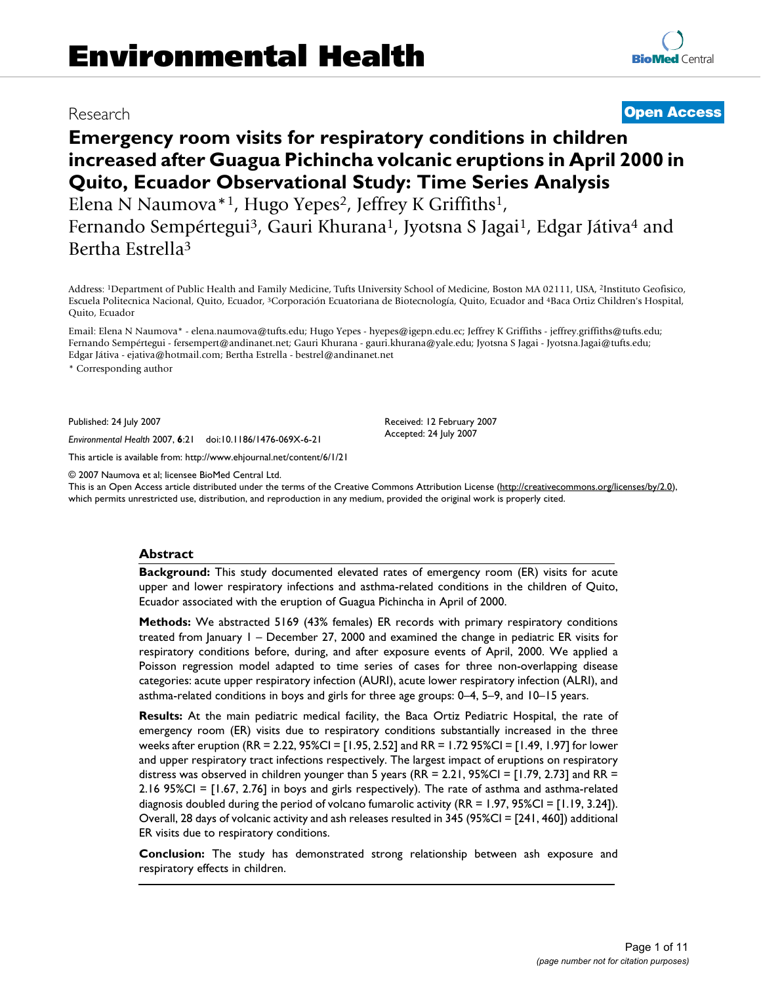# Research **[Open Access](http://www.biomedcentral.com/info/about/charter/)**

# **Emergency room visits for respiratory conditions in children increased after Guagua Pichincha volcanic eruptions in April 2000 in Quito, Ecuador Observational Study: Time Series Analysis**

Elena N Naumova\*<sup>1</sup>, Hugo Yepes<sup>2</sup>, Jeffrey K Griffiths<sup>1</sup>, Fernando Sempértegui<sup>3</sup>, Gauri Khurana<sup>1</sup>, Jyotsna S Jagai<sup>1</sup>, Edgar Játiva<sup>4</sup> and Bertha Estrella3

Address: 1Department of Public Health and Family Medicine, Tufts University School of Medicine, Boston MA 02111, USA, 2Instituto Geofisico, Escuela Politecnica Nacional, Quito, Ecuador, 3Corporación Ecuatoriana de Biotecnología, Quito, Ecuador and 4Baca Ortiz Children's Hospital, Quito, Ecuador

Email: Elena N Naumova\* - elena.naumova@tufts.edu; Hugo Yepes - hyepes@igepn.edu.ec; Jeffrey K Griffiths - jeffrey.griffiths@tufts.edu; Fernando Sempértegui - fersempert@andinanet.net; Gauri Khurana - gauri.khurana@yale.edu; Jyotsna S Jagai - Jyotsna.Jagai@tufts.edu; Edgar Játiva - ejativa@hotmail.com; Bertha Estrella - bestrel@andinanet.net

\* Corresponding author

Published: 24 July 2007

*Environmental Health* 2007, **6**:21 doi:10.1186/1476-069X-6-21

[This article is available from: http://www.ehjournal.net/content/6/1/21](http://www.ehjournal.net/content/6/1/21)

© 2007 Naumova et al; licensee BioMed Central Ltd.

This is an Open Access article distributed under the terms of the Creative Commons Attribution License [\(http://creativecommons.org/licenses/by/2.0\)](http://creativecommons.org/licenses/by/2.0), which permits unrestricted use, distribution, and reproduction in any medium, provided the original work is properly cited.

Received: 12 February 2007 Accepted: 24 July 2007

# **Abstract**

**Background:** This study documented elevated rates of emergency room (ER) visits for acute upper and lower respiratory infections and asthma-related conditions in the children of Quito, Ecuador associated with the eruption of Guagua Pichincha in April of 2000.

**Methods:** We abstracted 5169 (43% females) ER records with primary respiratory conditions treated from January 1 – December 27, 2000 and examined the change in pediatric ER visits for respiratory conditions before, during, and after exposure events of April, 2000. We applied a Poisson regression model adapted to time series of cases for three non-overlapping disease categories: acute upper respiratory infection (AURI), acute lower respiratory infection (ALRI), and asthma-related conditions in boys and girls for three age groups: 0–4, 5–9, and 10–15 years.

**Results:** At the main pediatric medical facility, the Baca Ortiz Pediatric Hospital, the rate of emergency room (ER) visits due to respiratory conditions substantially increased in the three weeks after eruption (RR = 2.22, 95%CI = [1.95, 2.52] and RR = 1.72 95%CI = [1.49, 1.97] for lower and upper respiratory tract infections respectively. The largest impact of eruptions on respiratory distress was observed in children younger than 5 years (RR = 2.21, 95%CI = [1.79, 2.73] and RR = 2.16 95%CI = [1.67, 2.76] in boys and girls respectively). The rate of asthma and asthma-related diagnosis doubled during the period of volcano fumarolic activity  $(RR = 1.97, 95\% CI = [1.19, 3.24]$ . Overall, 28 days of volcanic activity and ash releases resulted in 345 (95%CI = [241, 460]) additional ER visits due to respiratory conditions.

**Conclusion:** The study has demonstrated strong relationship between ash exposure and respiratory effects in children.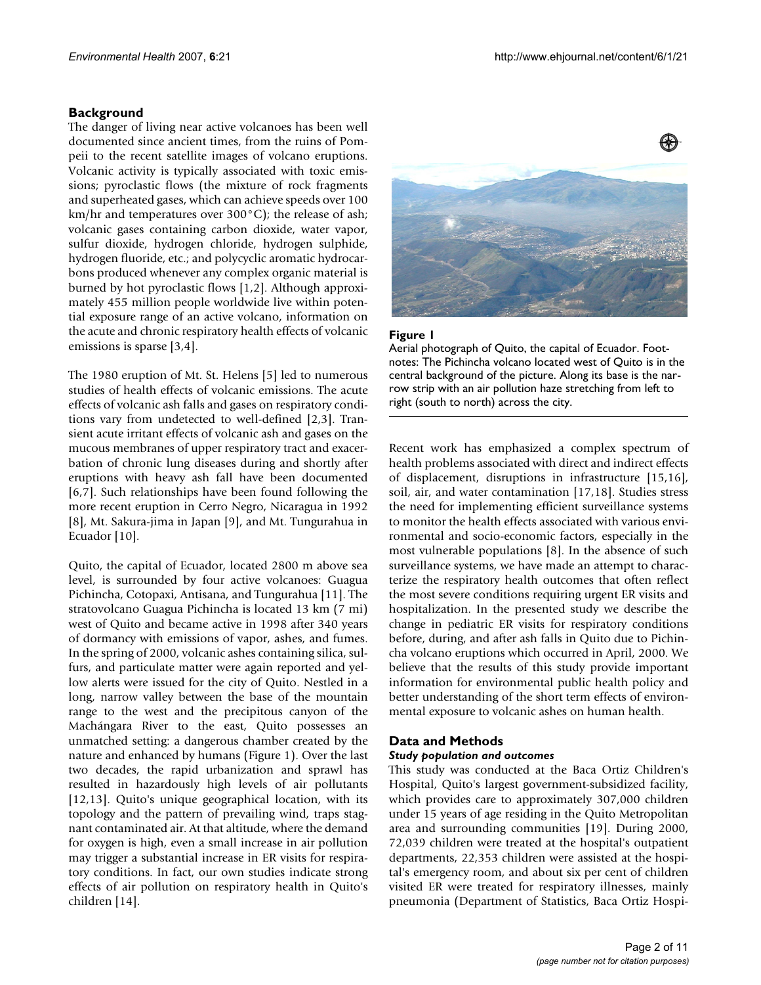# **Background**

The danger of living near active volcanoes has been well documented since ancient times, from the ruins of Pompeii to the recent satellite images of volcano eruptions. Volcanic activity is typically associated with toxic emissions; pyroclastic flows (the mixture of rock fragments and superheated gases, which can achieve speeds over 100 km/hr and temperatures over 300°C); the release of ash; volcanic gases containing carbon dioxide, water vapor, sulfur dioxide, hydrogen chloride, hydrogen sulphide, hydrogen fluoride, etc.; and polycyclic aromatic hydrocarbons produced whenever any complex organic material is burned by hot pyroclastic flows [1,2]. Although approximately 455 million people worldwide live within potential exposure range of an active volcano, information on the acute and chronic respiratory health effects of volcanic emissions is sparse [3,4].

The 1980 eruption of Mt. St. Helens [5] led to numerous studies of health effects of volcanic emissions. The acute effects of volcanic ash falls and gases on respiratory conditions vary from undetected to well-defined [2,3]. Transient acute irritant effects of volcanic ash and gases on the mucous membranes of upper respiratory tract and exacerbation of chronic lung diseases during and shortly after eruptions with heavy ash fall have been documented [6,7]. Such relationships have been found following the more recent eruption in Cerro Negro, Nicaragua in 1992 [8], Mt. Sakura-jima in Japan [9], and Mt. Tungurahua in Ecuador [10].

Quito, the capital of Ecuador, located 2800 m above sea level, is surrounded by four active volcanoes: Guagua Pichincha, Cotopaxi, Antisana, and Tungurahua [11]. The stratovolcano Guagua Pichincha is located 13 km (7 mi) west of Quito and became active in 1998 after 340 years of dormancy with emissions of vapor, ashes, and fumes. In the spring of 2000, volcanic ashes containing silica, sulfurs, and particulate matter were again reported and yellow alerts were issued for the city of Quito. Nestled in a long, narrow valley between the base of the mountain range to the west and the precipitous canyon of the Machángara River to the east, Quito possesses an unmatched setting: a dangerous chamber created by the nature and enhanced by humans (Figure 1). Over the last two decades, the rapid urbanization and sprawl has resulted in hazardously high levels of air pollutants [12,13]. Quito's unique geographical location, with its topology and the pattern of prevailing wind, traps stagnant contaminated air. At that altitude, where the demand for oxygen is high, even a small increase in air pollution may trigger a substantial increase in ER visits for respiratory conditions. In fact, our own studies indicate strong effects of air pollution on respiratory health in Quito's children [14].





Aerial photograph of Quito, the capital of Ecuador. Footnotes: The Pichincha volcano located west of Quito is in the central background of the picture. Along its base is the narrow strip with an air pollution haze stretching from left to right (south to north) across the city.

Recent work has emphasized a complex spectrum of health problems associated with direct and indirect effects of displacement, disruptions in infrastructure [15,16], soil, air, and water contamination [17,18]. Studies stress the need for implementing efficient surveillance systems to monitor the health effects associated with various environmental and socio-economic factors, especially in the most vulnerable populations [8]. In the absence of such surveillance systems, we have made an attempt to characterize the respiratory health outcomes that often reflect the most severe conditions requiring urgent ER visits and hospitalization. In the presented study we describe the change in pediatric ER visits for respiratory conditions before, during, and after ash falls in Quito due to Pichincha volcano eruptions which occurred in April, 2000. We believe that the results of this study provide important information for environmental public health policy and better understanding of the short term effects of environmental exposure to volcanic ashes on human health.

# **Data and Methods**

# *Study population and outcomes*

This study was conducted at the Baca Ortiz Children's Hospital, Quito's largest government-subsidized facility, which provides care to approximately 307,000 children under 15 years of age residing in the Quito Metropolitan area and surrounding communities [19]. During 2000, 72,039 children were treated at the hospital's outpatient departments, 22,353 children were assisted at the hospital's emergency room, and about six per cent of children visited ER were treated for respiratory illnesses, mainly pneumonia (Department of Statistics, Baca Ortiz Hospi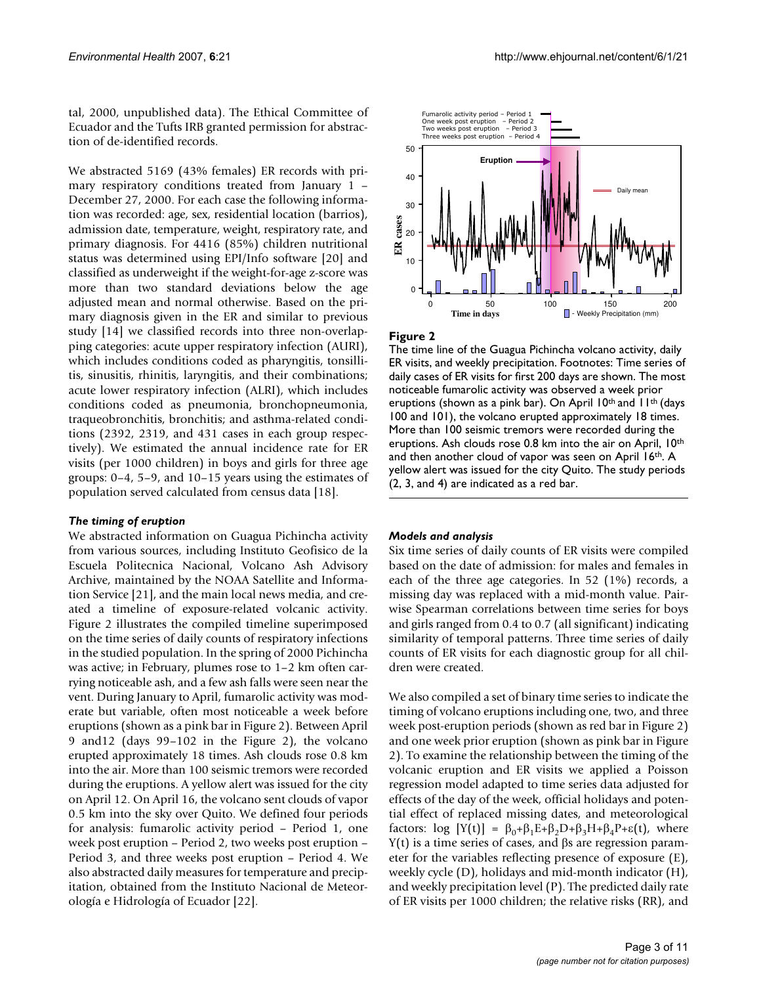tal, 2000, unpublished data). The Ethical Committee of Ecuador and the Tufts IRB granted permission for abstraction of de-identified records.

We abstracted 5169 (43% females) ER records with primary respiratory conditions treated from January 1 – December 27, 2000. For each case the following information was recorded: age, sex, residential location (barrios), admission date, temperature, weight, respiratory rate, and primary diagnosis. For 4416 (85%) children nutritional status was determined using EPI/Info software [20] and classified as underweight if the weight-for-age z-score was more than two standard deviations below the age adjusted mean and normal otherwise. Based on the primary diagnosis given in the ER and similar to previous study [14] we classified records into three non-overlapping categories: acute upper respiratory infection (AURI), which includes conditions coded as pharyngitis, tonsillitis, sinusitis, rhinitis, laryngitis, and their combinations; acute lower respiratory infection (ALRI), which includes conditions coded as pneumonia, bronchopneumonia, traqueobronchitis, bronchitis; and asthma-related conditions (2392, 2319, and 431 cases in each group respectively). We estimated the annual incidence rate for ER visits (per 1000 children) in boys and girls for three age groups: 0–4, 5–9, and 10–15 years using the estimates of population served calculated from census data [18].

# *The timing of eruption*

We abstracted information on Guagua Pichincha activity from various sources, including Instituto Geofisico de la Escuela Politecnica Nacional, Volcano Ash Advisory Archive, maintained by the NOAA Satellite and Information Service [21], and the main local news media, and created a timeline of exposure-related volcanic activity. Figure 2 illustrates the compiled timeline superimposed on the time series of daily counts of respiratory infections in the studied population. In the spring of 2000 Pichincha was active; in February, plumes rose to 1–2 km often carrying noticeable ash, and a few ash falls were seen near the vent. During January to April, fumarolic activity was moderate but variable, often most noticeable a week before eruptions (shown as a pink bar in Figure 2). Between April 9 and12 (days 99–102 in the Figure 2), the volcano erupted approximately 18 times. Ash clouds rose 0.8 km into the air. More than 100 seismic tremors were recorded during the eruptions. A yellow alert was issued for the city on April 12. On April 16, the volcano sent clouds of vapor 0.5 km into the sky over Quito. We defined four periods for analysis: fumarolic activity period – Period 1, one week post eruption – Period 2, two weeks post eruption – Period 3, and three weeks post eruption – Period 4. We also abstracted daily measures for temperature and precipitation, obtained from the Instituto Nacional de Meteorología e Hidrología of Ecuador [22].



# Figure 2

The time line of the Guagua Pichincha volcano activity, daily ER visits, and weekly precipitation. Footnotes: Time series of daily cases of ER visits for first 200 days are shown. The most noticeable fumarolic activity was observed a week prior eruptions (shown as a pink bar). On April  $10<sup>th</sup>$  and  $11<sup>th</sup>$  (days 100 and 101), the volcano erupted approximately 18 times. More than 100 seismic tremors were recorded during the eruptions. Ash clouds rose 0.8 km into the air on April, 10<sup>th</sup> and then another cloud of vapor was seen on April 16th. A yellow alert was issued for the city Quito. The study periods (2, 3, and 4) are indicated as a red bar.

# *Models and analysis*

Six time series of daily counts of ER visits were compiled based on the date of admission: for males and females in each of the three age categories. In 52 (1%) records, a missing day was replaced with a mid-month value. Pairwise Spearman correlations between time series for boys and girls ranged from 0.4 to 0.7 (all significant) indicating similarity of temporal patterns. Three time series of daily counts of ER visits for each diagnostic group for all children were created.

We also compiled a set of binary time series to indicate the timing of volcano eruptions including one, two, and three week post-eruption periods (shown as red bar in Figure 2) and one week prior eruption (shown as pink bar in Figure 2). To examine the relationship between the timing of the volcanic eruption and ER visits we applied a Poisson regression model adapted to time series data adjusted for effects of the day of the week, official holidays and potential effect of replaced missing dates, and meteorological factors:  $\log [Y(t)] = \beta_0 + \beta_1 E + \beta_2 D + \beta_3 H + \beta_4 P + \varepsilon(t)$ , where Y(t) is a time series of cases, and βs are regression parameter for the variables reflecting presence of exposure (E), weekly cycle (D), holidays and mid-month indicator (H), and weekly precipitation level (P). The predicted daily rate of ER visits per 1000 children; the relative risks (RR), and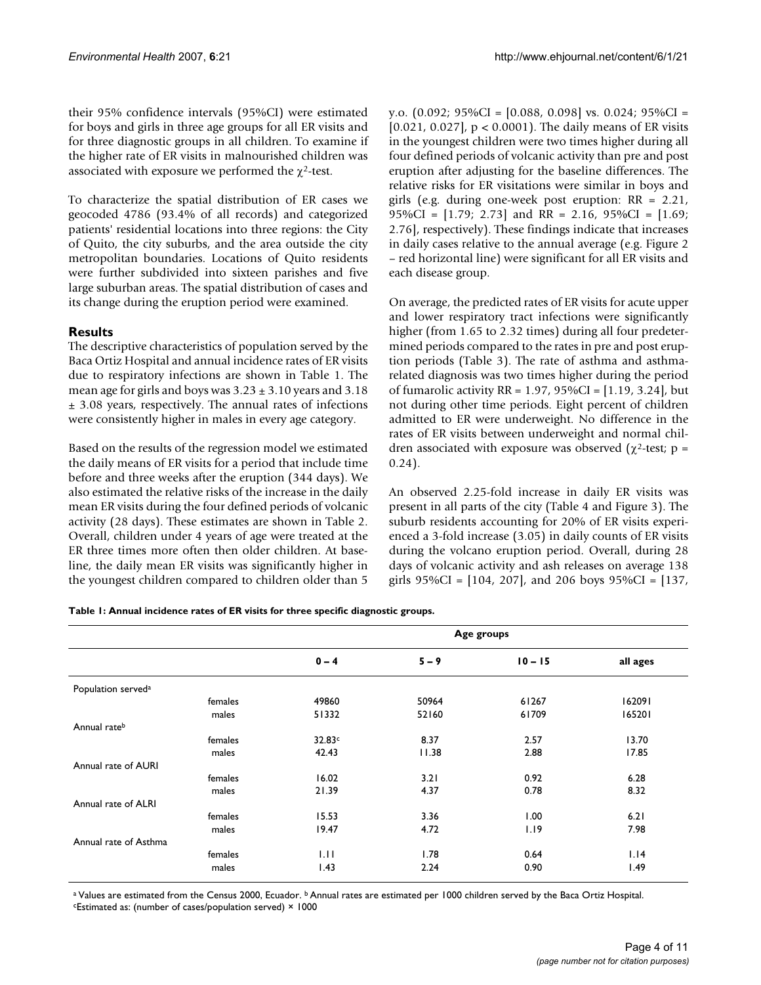their 95% confidence intervals (95%CI) were estimated for boys and girls in three age groups for all ER visits and for three diagnostic groups in all children. To examine if the higher rate of ER visits in malnourished children was associated with exposure we performed the  $\chi^2$ -test.

To characterize the spatial distribution of ER cases we geocoded 4786 (93.4% of all records) and categorized patients' residential locations into three regions: the City of Quito, the city suburbs, and the area outside the city metropolitan boundaries. Locations of Quito residents were further subdivided into sixteen parishes and five large suburban areas. The spatial distribution of cases and its change during the eruption period were examined.

# **Results**

The descriptive characteristics of population served by the Baca Ortiz Hospital and annual incidence rates of ER visits due to respiratory infections are shown in Table 1. The mean age for girls and boys was  $3.23 \pm 3.10$  years and  $3.18$ ± 3.08 years, respectively. The annual rates of infections were consistently higher in males in every age category.

Based on the results of the regression model we estimated the daily means of ER visits for a period that include time before and three weeks after the eruption (344 days). We also estimated the relative risks of the increase in the daily mean ER visits during the four defined periods of volcanic activity (28 days). These estimates are shown in Table 2. Overall, children under 4 years of age were treated at the ER three times more often then older children. At baseline, the daily mean ER visits was significantly higher in the youngest children compared to children older than 5

y.o. (0.092; 95%CI = [0.088, 0.098] vs. 0.024; 95%CI = [0.021, 0.027], p < 0.0001). The daily means of ER visits in the youngest children were two times higher during all four defined periods of volcanic activity than pre and post eruption after adjusting for the baseline differences. The relative risks for ER visitations were similar in boys and girls (e.g. during one-week post eruption: RR = 2.21, 95%CI =  $[1.79; 2.73]$  and RR = 2.16, 95%CI =  $[1.69;$ 2.76], respectively). These findings indicate that increases in daily cases relative to the annual average (e.g. Figure 2 – red horizontal line) were significant for all ER visits and each disease group.

On average, the predicted rates of ER visits for acute upper and lower respiratory tract infections were significantly higher (from 1.65 to 2.32 times) during all four predetermined periods compared to the rates in pre and post eruption periods (Table 3). The rate of asthma and asthmarelated diagnosis was two times higher during the period of fumarolic activity RR = 1.97, 95%CI = [1.19, 3.24], but not during other time periods. Eight percent of children admitted to ER were underweight. No difference in the rates of ER visits between underweight and normal children associated with exposure was observed ( $\chi^2$ -test; p = 0.24).

An observed 2.25-fold increase in daily ER visits was present in all parts of the city (Table 4 and Figure 3). The suburb residents accounting for 20% of ER visits experienced a 3-fold increase (3.05) in daily counts of ER visits during the volcano eruption period. Overall, during 28 days of volcanic activity and ash releases on average 138 girls 95%CI = [104, 207], and 206 boys 95%CI = [137,

**Table 1: Annual incidence rates of ER visits for three specific diagnostic groups.**

|                                |         | Age groups |         |           |          |  |
|--------------------------------|---------|------------|---------|-----------|----------|--|
|                                |         | $0 - 4$    | $5 - 9$ | $10 - 15$ | all ages |  |
| Population served <sup>a</sup> |         |            |         |           |          |  |
|                                | females | 49860      | 50964   | 61267     | 162091   |  |
|                                | males   | 51332      | 52160   | 61709     | 165201   |  |
| Annual rateb                   |         |            |         |           |          |  |
|                                | females | 32.83c     | 8.37    | 2.57      | 13.70    |  |
|                                | males   | 42.43      | 11.38   | 2.88      | 17.85    |  |
| Annual rate of AURI            |         |            |         |           |          |  |
|                                | females | 16.02      | 3.21    | 0.92      | 6.28     |  |
|                                | males   | 21.39      | 4.37    | 0.78      | 8.32     |  |
| Annual rate of ALRI            |         |            |         |           |          |  |
|                                | females | 15.53      | 3.36    | 1.00      | 6.21     |  |
|                                | males   | 19.47      | 4.72    | 1.19      | 7.98     |  |
| Annual rate of Asthma          |         |            |         |           |          |  |
|                                | females | 1.11       | 1.78    | 0.64      | 1.14     |  |
|                                | males   | 1.43       | 2.24    | 0.90      | 1.49     |  |
|                                |         |            |         |           |          |  |

<sup>a</sup> Values are estimated from the Census 2000, Ecuador. <sup>b</sup> Annual rates are estimated per 1000 children served by the Baca Ortiz Hospital.<br><sup>c</sup>Estimated as: (number of cases/population served) × 1000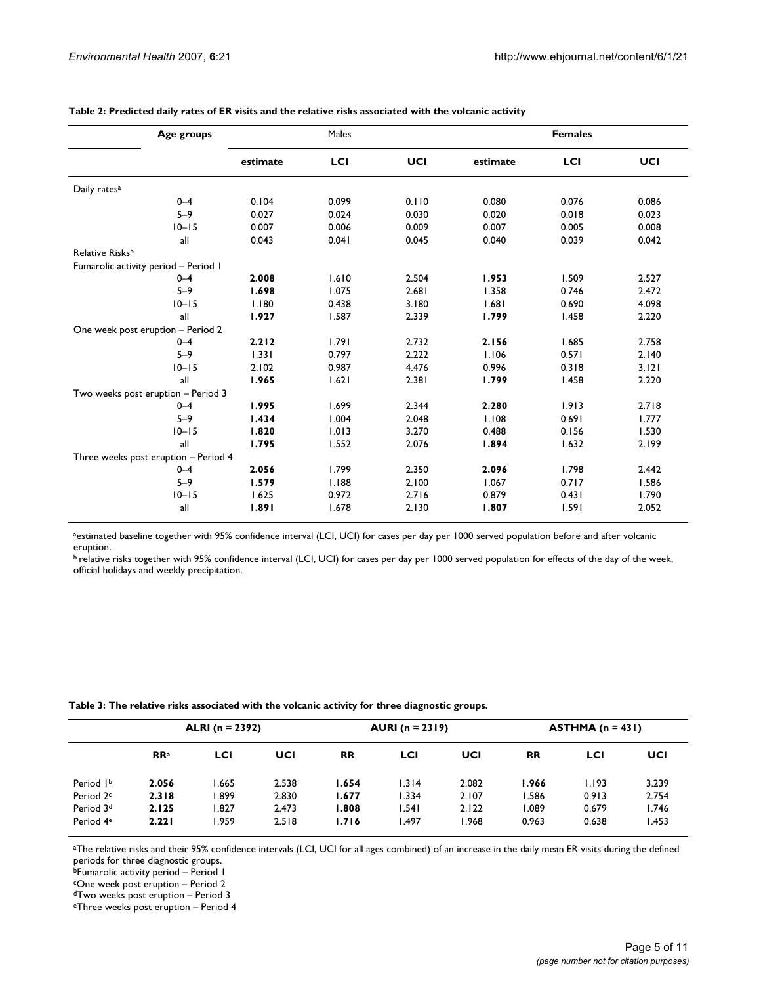| Age groups                           |          | Males |       |          | <b>Females</b> |       |  |  |
|--------------------------------------|----------|-------|-------|----------|----------------|-------|--|--|
|                                      | estimate | LCI   | UCI   | estimate | LCI            | UCI   |  |  |
| Daily rates <sup>a</sup>             |          |       |       |          |                |       |  |  |
| $0 - 4$                              | 0.104    | 0.099 | 0.110 | 0.080    | 0.076          | 0.086 |  |  |
| $5 - 9$                              | 0.027    | 0.024 | 0.030 | 0.020    | 0.018          | 0.023 |  |  |
| $10 - 15$                            | 0.007    | 0.006 | 0.009 | 0.007    | 0.005          | 0.008 |  |  |
| all                                  | 0.043    | 0.041 | 0.045 | 0.040    | 0.039          | 0.042 |  |  |
| Relative Risksb                      |          |       |       |          |                |       |  |  |
| Fumarolic activity period - Period 1 |          |       |       |          |                |       |  |  |
| $0 - 4$                              | 2.008    | 1.610 | 2.504 | 1.953    | 1.509          | 2.527 |  |  |
| $5 - 9$                              | 1.698    | 1.075 | 2.681 | 1.358    | 0.746          | 2.472 |  |  |
| $10 - 15$                            | 1.180    | 0.438 | 3.180 | 1.681    | 0.690          | 4.098 |  |  |
| all                                  | 1.927    | 1.587 | 2.339 | 1.799    | 1.458          | 2.220 |  |  |
| One week post eruption - Period 2    |          |       |       |          |                |       |  |  |
| $0 - 4$                              | 2.212    | 1.791 | 2.732 | 2.156    | 1.685          | 2.758 |  |  |
| $5 - 9$                              | 1.331    | 0.797 | 2.222 | 1.106    | 0.571          | 2.140 |  |  |
| $10 - 15$                            | 2.102    | 0.987 | 4.476 | 0.996    | 0.318          | 3.121 |  |  |
| all                                  | 1.965    | 1.621 | 2.381 | 1.799    | 1.458          | 2.220 |  |  |
| Two weeks post eruption - Period 3   |          |       |       |          |                |       |  |  |
| $0 - 4$                              | 1.995    | 1.699 | 2.344 | 2.280    | 1.913          | 2.718 |  |  |
| $5 - 9$                              | 1.434    | 1.004 | 2.048 | 1.108    | 0.691          | 1.777 |  |  |
| $10 - 15$                            | 1.820    | 1.013 | 3.270 | 0.488    | 0.156          | 1.530 |  |  |
| all                                  | 1.795    | 1.552 | 2.076 | 1.894    | 1.632          | 2.199 |  |  |
| Three weeks post eruption - Period 4 |          |       |       |          |                |       |  |  |
| $0 - 4$                              | 2.056    | 1.799 | 2.350 | 2.096    | 1.798          | 2.442 |  |  |
| $5 - 9$                              | 1.579    | 1.188 | 2.100 | 1.067    | 0.717          | 1.586 |  |  |
| $10 - 15$                            | 1.625    | 0.972 | 2.716 | 0.879    | 0.431          | 1.790 |  |  |
| all                                  | 1.891    | 1.678 | 2.130 | 1.807    | 1.591          | 2.052 |  |  |

### **Table 2: Predicted daily rates of ER visits and the relative risks associated with the volcanic activity**

aestimated baseline together with 95% confidence interval (LCI, UCI) for cases per day per 1000 served population before and after volcanic eruption.

b relative risks together with 95% confidence interval (LCI, UCI) for cases per day per 1000 served population for effects of the day of the week, official holidays and weekly precipitation.

|                       | ALRI ( $n = 2392$ )    |        |       | AURI ( $n = 2319$ ) |        |       | $ASTHMA (n = 431)$ |       |       |
|-----------------------|------------------------|--------|-------|---------------------|--------|-------|--------------------|-------|-------|
|                       | <b>RR</b> <sup>a</sup> | LCI    | UCI   | <b>RR</b>           | LCI    | UCI   | <b>RR</b>          | LCI   | UCI   |
| Period I <sup>b</sup> | 2.056                  | 665. ا | 2.538 | 1.654               | 1.314  | 2.082 | 1.966              | 1.193 | 3.239 |
| Period 2 <sup>c</sup> | 2.318                  | 1.899  | 2.830 | 1.677               | 1.334  | 2.107 | 1.586              | 0.913 | 2.754 |
| Period 3 <sup>d</sup> | 2.125                  | 1.827  | 2.473 | .808                | l.54 l | 2.122 | 1.089              | 0.679 | 1.746 |
| Period 4 <sup>e</sup> | 2.221                  | .959   | 2.518 | 1.716               | .497   | 1.968 | 0.963              | 0.638 | 1.453 |

aThe relative risks and their 95% confidence intervals (LCI, UCI for all ages combined) of an increase in the daily mean ER visits during the defined periods for three diagnostic groups.

bFumarolic activity period – Period 1

cOne week post eruption – Period 2

dTwo weeks post eruption – Period 3

eThree weeks post eruption – Period 4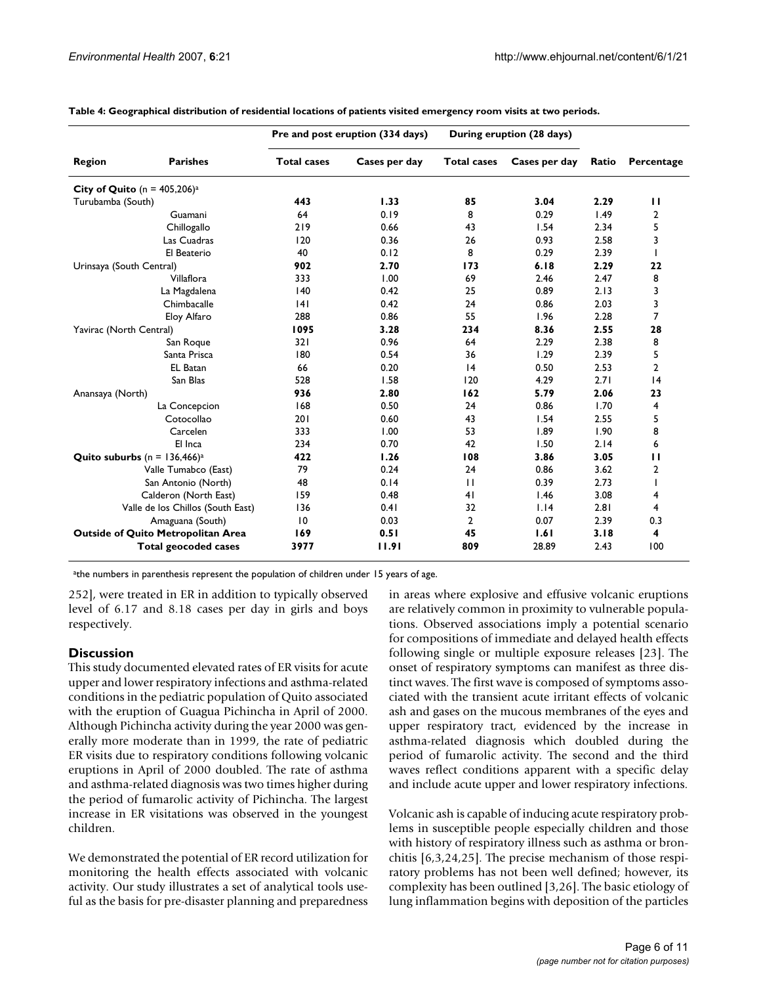|                                             |                                   | Pre and post eruption (334 days) |               | During eruption (28 days) |               |       |              |
|---------------------------------------------|-----------------------------------|----------------------------------|---------------|---------------------------|---------------|-------|--------------|
| Region                                      | <b>Parishes</b>                   | <b>Total cases</b>               | Cases per day | <b>Total cases</b>        | Cases per day | Ratio | Percentage   |
| City of Quito (n = $405,206$ ) <sup>a</sup> |                                   |                                  |               |                           |               |       |              |
| Turubamba (South)                           |                                   | 443                              | 1.33          | 85                        | 3.04          | 2.29  | $\mathbf{H}$ |
|                                             | Guamani                           | 64                               | 0.19          | 8                         | 0.29          | 1.49  | 2            |
|                                             | Chillogallo                       | 219                              | 0.66          | 43                        | 1.54          | 2.34  | 5            |
|                                             | Las Cuadras                       | 120                              | 0.36          | 26                        | 0.93          | 2.58  | 3            |
|                                             | El Beaterio                       | 40                               | 0.12          | 8                         | 0.29          | 2.39  |              |
| Urinsaya (South Central)                    |                                   | 902                              | 2.70          | 173                       | 6.18          | 2.29  | 22           |
|                                             | Villaflora                        | 333                              | 1.00          | 69                        | 2.46          | 2.47  | 8            |
|                                             | La Magdalena                      | 140                              | 0.42          | 25                        | 0.89          | 2.13  | 3            |
|                                             | Chimbacalle                       | 4                                | 0.42          | 24                        | 0.86          | 2.03  | 3            |
|                                             | Eloy Alfaro                       | 288                              | 0.86          | 55                        | 1.96          | 2.28  | 7            |
| Yavirac (North Central)                     |                                   | 1095                             | 3.28          | 234                       | 8.36          | 2.55  | 28           |
|                                             | San Roque                         | 321                              | 0.96          | 64                        | 2.29          | 2.38  | 8            |
|                                             | Santa Prisca                      | 180                              | 0.54          | 36                        | 1.29          | 2.39  | 5            |
|                                             | <b>EL Batan</b>                   | 66                               | 0.20          | 4                         | 0.50          | 2.53  | 2            |
|                                             | San Blas                          | 528                              | 1.58          | 120                       | 4.29          | 2.71  | 4            |
| Anansaya (North)                            |                                   | 936                              | 2.80          | 162                       | 5.79          | 2.06  | 23           |
|                                             | La Concepcion                     | 168                              | 0.50          | 24                        | 0.86          | 1.70  | 4            |
|                                             | Cotocollao                        | 201                              | 0.60          | 43                        | 1.54          | 2.55  | 5            |
|                                             | Carcelen                          | 333                              | 1.00          | 53                        | 1.89          | 1.90  | 8            |
|                                             | El Inca                           | 234                              | 0.70          | 42                        | 1.50          | 2.14  | 6            |
| Quito suburbs (n = $136,466$ ) <sup>a</sup> |                                   | 422                              | 1.26          | 108                       | 3.86          | 3.05  | $\mathbf{H}$ |
|                                             | Valle Tumabco (East)              | 79                               | 0.24          | 24                        | 0.86          | 3.62  | 2            |
|                                             | San Antonio (North)               | 48                               | 0.14          | П                         | 0.39          | 2.73  |              |
|                                             | Calderon (North East)             | 159                              | 0.48          | 41                        | 1.46          | 3.08  | 4            |
|                                             | Valle de los Chillos (South East) | 136                              | 0.41          | 32                        | 1.14          | 2.81  | 4            |
|                                             | Amaguana (South)                  | $\overline{10}$                  | 0.03          | $\overline{2}$            | 0.07          | 2.39  | 0.3          |
| Outside of Quito Metropolitan Area          |                                   | 169                              | 0.51          | 45                        | 1.61          | 3.18  | 4            |
|                                             | <b>Total geocoded cases</b>       | 3977                             | 11.91         | 809                       | 28.89         | 2.43  | 100          |

**Table 4: Geographical distribution of residential locations of patients visited emergency room visits at two periods.**

athe numbers in parenthesis represent the population of children under 15 years of age.

252], were treated in ER in addition to typically observed level of 6.17 and 8.18 cases per day in girls and boys respectively.

# **Discussion**

This study documented elevated rates of ER visits for acute upper and lower respiratory infections and asthma-related conditions in the pediatric population of Quito associated with the eruption of Guagua Pichincha in April of 2000. Although Pichincha activity during the year 2000 was generally more moderate than in 1999, the rate of pediatric ER visits due to respiratory conditions following volcanic eruptions in April of 2000 doubled. The rate of asthma and asthma-related diagnosis was two times higher during the period of fumarolic activity of Pichincha. The largest increase in ER visitations was observed in the youngest children.

We demonstrated the potential of ER record utilization for monitoring the health effects associated with volcanic activity. Our study illustrates a set of analytical tools useful as the basis for pre-disaster planning and preparedness in areas where explosive and effusive volcanic eruptions are relatively common in proximity to vulnerable populations. Observed associations imply a potential scenario for compositions of immediate and delayed health effects following single or multiple exposure releases [23]. The onset of respiratory symptoms can manifest as three distinct waves. The first wave is composed of symptoms associated with the transient acute irritant effects of volcanic ash and gases on the mucous membranes of the eyes and upper respiratory tract, evidenced by the increase in asthma-related diagnosis which doubled during the period of fumarolic activity. The second and the third waves reflect conditions apparent with a specific delay and include acute upper and lower respiratory infections.

Volcanic ash is capable of inducing acute respiratory problems in susceptible people especially children and those with history of respiratory illness such as asthma or bronchitis [6,3,24,25]. The precise mechanism of those respiratory problems has not been well defined; however, its complexity has been outlined [3,26]. The basic etiology of lung inflammation begins with deposition of the particles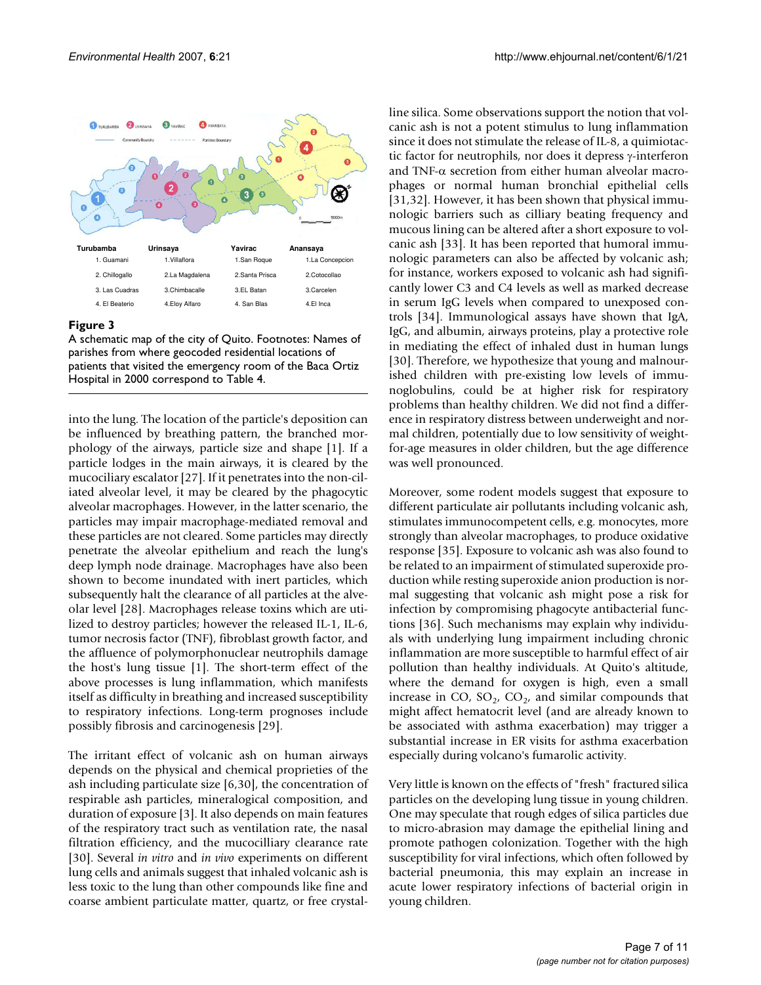

# **Figure 3**

A schematic map of the city of Quito. Footnotes: Names of parishes from where geocoded residential locations of patients that visited the emergency room of the Baca Ortiz Hospital in 2000 correspond to Table 4.

into the lung. The location of the particle's deposition can be influenced by breathing pattern, the branched morphology of the airways, particle size and shape [1]. If a particle lodges in the main airways, it is cleared by the mucociliary escalator [27]. If it penetrates into the non-ciliated alveolar level, it may be cleared by the phagocytic alveolar macrophages. However, in the latter scenario, the particles may impair macrophage-mediated removal and these particles are not cleared. Some particles may directly penetrate the alveolar epithelium and reach the lung's deep lymph node drainage. Macrophages have also been shown to become inundated with inert particles, which subsequently halt the clearance of all particles at the alveolar level [28]. Macrophages release toxins which are utilized to destroy particles; however the released IL-1, IL-6, tumor necrosis factor (TNF), fibroblast growth factor, and the affluence of polymorphonuclear neutrophils damage the host's lung tissue [1]. The short-term effect of the above processes is lung inflammation, which manifests itself as difficulty in breathing and increased susceptibility to respiratory infections. Long-term prognoses include possibly fibrosis and carcinogenesis [29].

The irritant effect of volcanic ash on human airways depends on the physical and chemical proprieties of the ash including particulate size [6,30], the concentration of respirable ash particles, mineralogical composition, and duration of exposure [3]. It also depends on main features of the respiratory tract such as ventilation rate, the nasal filtration efficiency, and the mucocilliary clearance rate [30]. Several *in vitro* and *in vivo* experiments on different lung cells and animals suggest that inhaled volcanic ash is less toxic to the lung than other compounds like fine and coarse ambient particulate matter, quartz, or free crystalline silica. Some observations support the notion that volcanic ash is not a potent stimulus to lung inflammation since it does not stimulate the release of IL-8, a quimiotactic factor for neutrophils, nor does it depress γ-interferon and TNF-α secretion from either human alveolar macrophages or normal human bronchial epithelial cells [31,32]. However, it has been shown that physical immunologic barriers such as cilliary beating frequency and mucous lining can be altered after a short exposure to volcanic ash [33]. It has been reported that humoral immunologic parameters can also be affected by volcanic ash; for instance, workers exposed to volcanic ash had significantly lower C3 and C4 levels as well as marked decrease in serum IgG levels when compared to unexposed controls [34]. Immunological assays have shown that IgA, IgG, and albumin, airways proteins, play a protective role in mediating the effect of inhaled dust in human lungs [30]. Therefore, we hypothesize that young and malnourished children with pre-existing low levels of immunoglobulins, could be at higher risk for respiratory problems than healthy children. We did not find a difference in respiratory distress between underweight and normal children, potentially due to low sensitivity of weightfor-age measures in older children, but the age difference was well pronounced.

Moreover, some rodent models suggest that exposure to different particulate air pollutants including volcanic ash, stimulates immunocompetent cells, e.g. monocytes, more strongly than alveolar macrophages, to produce oxidative response [35]. Exposure to volcanic ash was also found to be related to an impairment of stimulated superoxide production while resting superoxide anion production is normal suggesting that volcanic ash might pose a risk for infection by compromising phagocyte antibacterial functions [36]. Such mechanisms may explain why individuals with underlying lung impairment including chronic inflammation are more susceptible to harmful effect of air pollution than healthy individuals. At Quito's altitude, where the demand for oxygen is high, even a small increase in CO,  $SO_2$ ,  $CO_2$ , and similar compounds that might affect hematocrit level (and are already known to be associated with asthma exacerbation) may trigger a substantial increase in ER visits for asthma exacerbation especially during volcano's fumarolic activity.

Very little is known on the effects of "fresh" fractured silica particles on the developing lung tissue in young children. One may speculate that rough edges of silica particles due to micro-abrasion may damage the epithelial lining and promote pathogen colonization. Together with the high susceptibility for viral infections, which often followed by bacterial pneumonia, this may explain an increase in acute lower respiratory infections of bacterial origin in young children.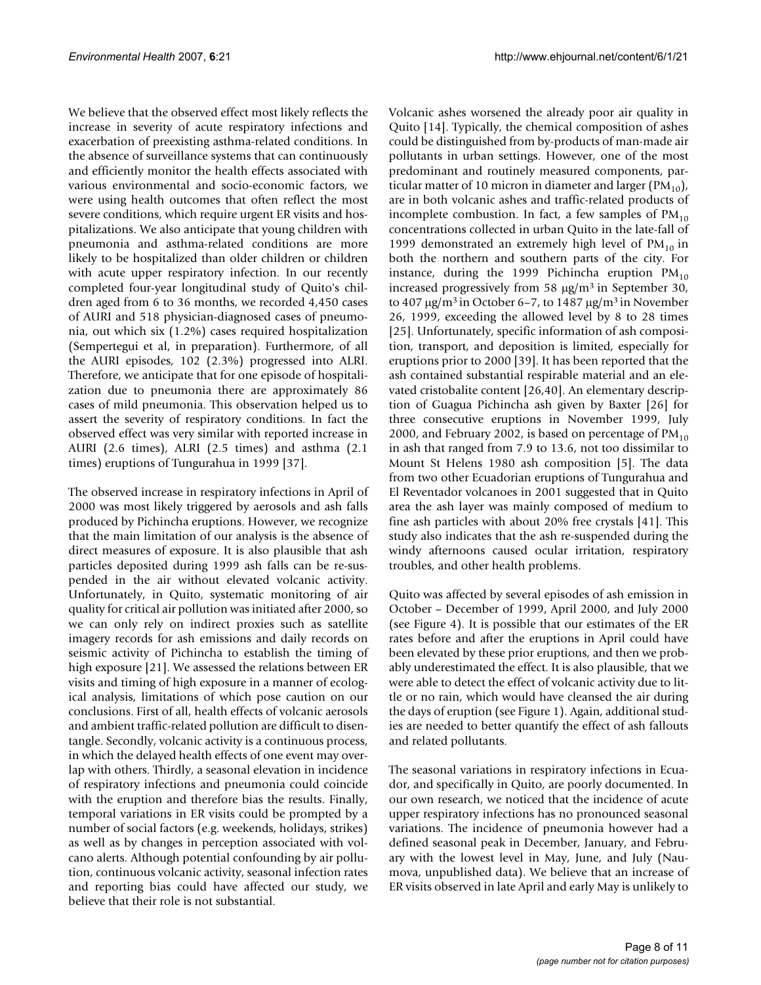We believe that the observed effect most likely reflects the increase in severity of acute respiratory infections and exacerbation of preexisting asthma-related conditions. In the absence of surveillance systems that can continuously and efficiently monitor the health effects associated with various environmental and socio-economic factors, we were using health outcomes that often reflect the most severe conditions, which require urgent ER visits and hospitalizations. We also anticipate that young children with pneumonia and asthma-related conditions are more likely to be hospitalized than older children or children with acute upper respiratory infection. In our recently completed four-year longitudinal study of Quito's children aged from 6 to 36 months, we recorded 4,450 cases of AURI and 518 physician-diagnosed cases of pneumonia, out which six (1.2%) cases required hospitalization (Sempertegui et al, in preparation). Furthermore, of all the AURI episodes, 102 (2.3%) progressed into ALRI. Therefore, we anticipate that for one episode of hospitalization due to pneumonia there are approximately 86 cases of mild pneumonia. This observation helped us to assert the severity of respiratory conditions. In fact the observed effect was very similar with reported increase in AURI (2.6 times), ALRI (2.5 times) and asthma (2.1 times) eruptions of Tungurahua in 1999 [37].

The observed increase in respiratory infections in April of 2000 was most likely triggered by aerosols and ash falls produced by Pichincha eruptions. However, we recognize that the main limitation of our analysis is the absence of direct measures of exposure. It is also plausible that ash particles deposited during 1999 ash falls can be re-suspended in the air without elevated volcanic activity. Unfortunately, in Quito, systematic monitoring of air quality for critical air pollution was initiated after 2000, so we can only rely on indirect proxies such as satellite imagery records for ash emissions and daily records on seismic activity of Pichincha to establish the timing of high exposure [21]. We assessed the relations between ER visits and timing of high exposure in a manner of ecological analysis, limitations of which pose caution on our conclusions. First of all, health effects of volcanic aerosols and ambient traffic-related pollution are difficult to disentangle. Secondly, volcanic activity is a continuous process, in which the delayed health effects of one event may overlap with others. Thirdly, a seasonal elevation in incidence of respiratory infections and pneumonia could coincide with the eruption and therefore bias the results. Finally, temporal variations in ER visits could be prompted by a number of social factors (e.g. weekends, holidays, strikes) as well as by changes in perception associated with volcano alerts. Although potential confounding by air pollution, continuous volcanic activity, seasonal infection rates and reporting bias could have affected our study, we believe that their role is not substantial.

Volcanic ashes worsened the already poor air quality in Quito [14]. Typically, the chemical composition of ashes could be distinguished from by-products of man-made air pollutants in urban settings. However, one of the most predominant and routinely measured components, particular matter of 10 micron in diameter and larger  $(PM_{10})$ , are in both volcanic ashes and traffic-related products of incomplete combustion. In fact, a few samples of  $PM_{10}$ concentrations collected in urban Quito in the late-fall of 1999 demonstrated an extremely high level of  $PM_{10}$  in both the northern and southern parts of the city. For instance, during the 1999 Pichincha eruption  $PM_{10}$ increased progressively from 58  $\mu$ g/m<sup>3</sup> in September 30, to 407  $\mu$ g/m<sup>3</sup> in October 6–7, to 1487  $\mu$ g/m<sup>3</sup> in November 26, 1999, exceeding the allowed level by 8 to 28 times [25]. Unfortunately, specific information of ash composition, transport, and deposition is limited, especially for eruptions prior to 2000 [39]. It has been reported that the ash contained substantial respirable material and an elevated cristobalite content [26,40]. An elementary description of Guagua Pichincha ash given by Baxter [26] for three consecutive eruptions in November 1999, July 2000, and February 2002, is based on percentage of  $PM_{10}$ in ash that ranged from 7.9 to 13.6, not too dissimilar to Mount St Helens 1980 ash composition [5]. The data from two other Ecuadorian eruptions of Tungurahua and El Reventador volcanoes in 2001 suggested that in Quito area the ash layer was mainly composed of medium to fine ash particles with about 20% free crystals [41]. This study also indicates that the ash re-suspended during the windy afternoons caused ocular irritation, respiratory troubles, and other health problems.

Quito was affected by several episodes of ash emission in October – December of 1999, April 2000, and July 2000 (see Figure 4). It is possible that our estimates of the ER rates before and after the eruptions in April could have been elevated by these prior eruptions, and then we probably underestimated the effect. It is also plausible, that we were able to detect the effect of volcanic activity due to little or no rain, which would have cleansed the air during the days of eruption (see Figure 1). Again, additional studies are needed to better quantify the effect of ash fallouts and related pollutants.

The seasonal variations in respiratory infections in Ecuador, and specifically in Quito, are poorly documented. In our own research, we noticed that the incidence of acute upper respiratory infections has no pronounced seasonal variations. The incidence of pneumonia however had a defined seasonal peak in December, January, and February with the lowest level in May, June, and July (Naumova, unpublished data). We believe that an increase of ER visits observed in late April and early May is unlikely to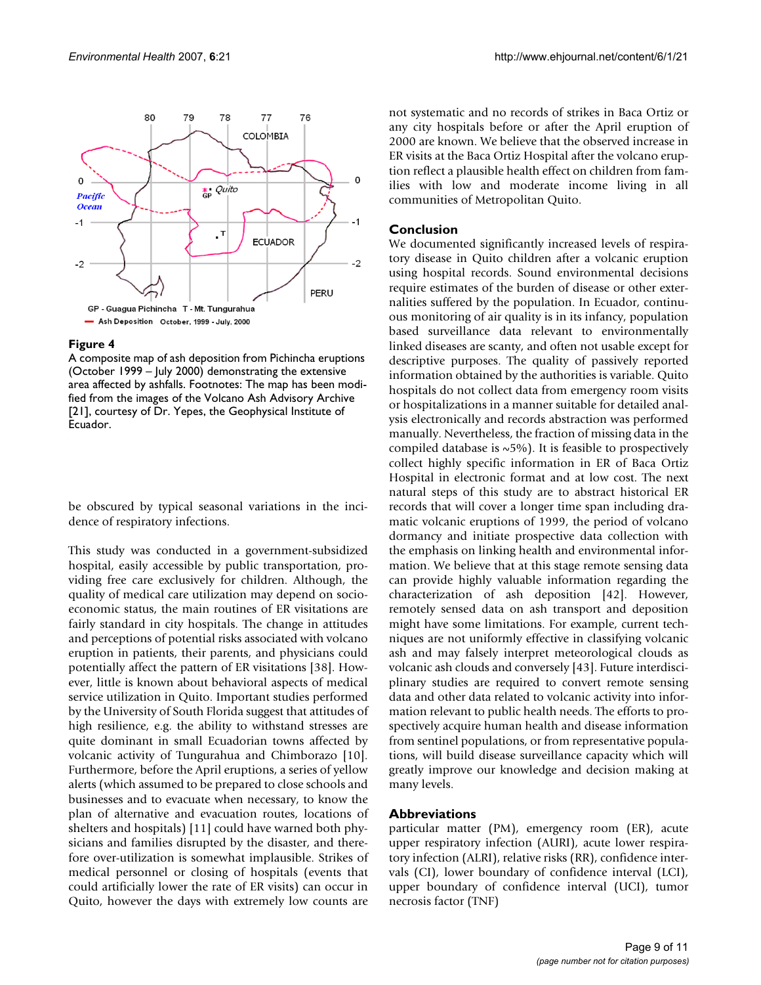

# Figure 4

A composite map of ash deposition from Pichincha eruptions (October 1999 – July 2000) demonstrating the extensive area affected by ashfalls. Footnotes: The map has been modified from the images of the Volcano Ash Advisory Archive [21], courtesy of Dr. Yepes, the Geophysical Institute of Ecuador.

be obscured by typical seasonal variations in the incidence of respiratory infections.

This study was conducted in a government-subsidized hospital, easily accessible by public transportation, providing free care exclusively for children. Although, the quality of medical care utilization may depend on socioeconomic status, the main routines of ER visitations are fairly standard in city hospitals. The change in attitudes and perceptions of potential risks associated with volcano eruption in patients, their parents, and physicians could potentially affect the pattern of ER visitations [38]. However, little is known about behavioral aspects of medical service utilization in Quito. Important studies performed by the University of South Florida suggest that attitudes of high resilience, e.g. the ability to withstand stresses are quite dominant in small Ecuadorian towns affected by volcanic activity of Tungurahua and Chimborazo [10]. Furthermore, before the April eruptions, a series of yellow alerts (which assumed to be prepared to close schools and businesses and to evacuate when necessary, to know the plan of alternative and evacuation routes, locations of shelters and hospitals) [11] could have warned both physicians and families disrupted by the disaster, and therefore over-utilization is somewhat implausible. Strikes of medical personnel or closing of hospitals (events that could artificially lower the rate of ER visits) can occur in Quito, however the days with extremely low counts are not systematic and no records of strikes in Baca Ortiz or any city hospitals before or after the April eruption of 2000 are known. We believe that the observed increase in ER visits at the Baca Ortiz Hospital after the volcano eruption reflect a plausible health effect on children from families with low and moderate income living in all communities of Metropolitan Quito.

# **Conclusion**

We documented significantly increased levels of respiratory disease in Quito children after a volcanic eruption using hospital records. Sound environmental decisions require estimates of the burden of disease or other externalities suffered by the population. In Ecuador, continuous monitoring of air quality is in its infancy, population based surveillance data relevant to environmentally linked diseases are scanty, and often not usable except for descriptive purposes. The quality of passively reported information obtained by the authorities is variable. Quito hospitals do not collect data from emergency room visits or hospitalizations in a manner suitable for detailed analysis electronically and records abstraction was performed manually. Nevertheless, the fraction of missing data in the compiled database is  $\sim$ 5%). It is feasible to prospectively collect highly specific information in ER of Baca Ortiz Hospital in electronic format and at low cost. The next natural steps of this study are to abstract historical ER records that will cover a longer time span including dramatic volcanic eruptions of 1999, the period of volcano dormancy and initiate prospective data collection with the emphasis on linking health and environmental information. We believe that at this stage remote sensing data can provide highly valuable information regarding the characterization of ash deposition [42]. However, remotely sensed data on ash transport and deposition might have some limitations. For example, current techniques are not uniformly effective in classifying volcanic ash and may falsely interpret meteorological clouds as volcanic ash clouds and conversely [43]. Future interdisciplinary studies are required to convert remote sensing data and other data related to volcanic activity into information relevant to public health needs. The efforts to prospectively acquire human health and disease information from sentinel populations, or from representative populations, will build disease surveillance capacity which will greatly improve our knowledge and decision making at many levels.

# **Abbreviations**

particular matter (PM), emergency room (ER), acute upper respiratory infection (AURI), acute lower respiratory infection (ALRI), relative risks (RR), confidence intervals (CI), lower boundary of confidence interval (LCI), upper boundary of confidence interval (UCI), tumor necrosis factor (TNF)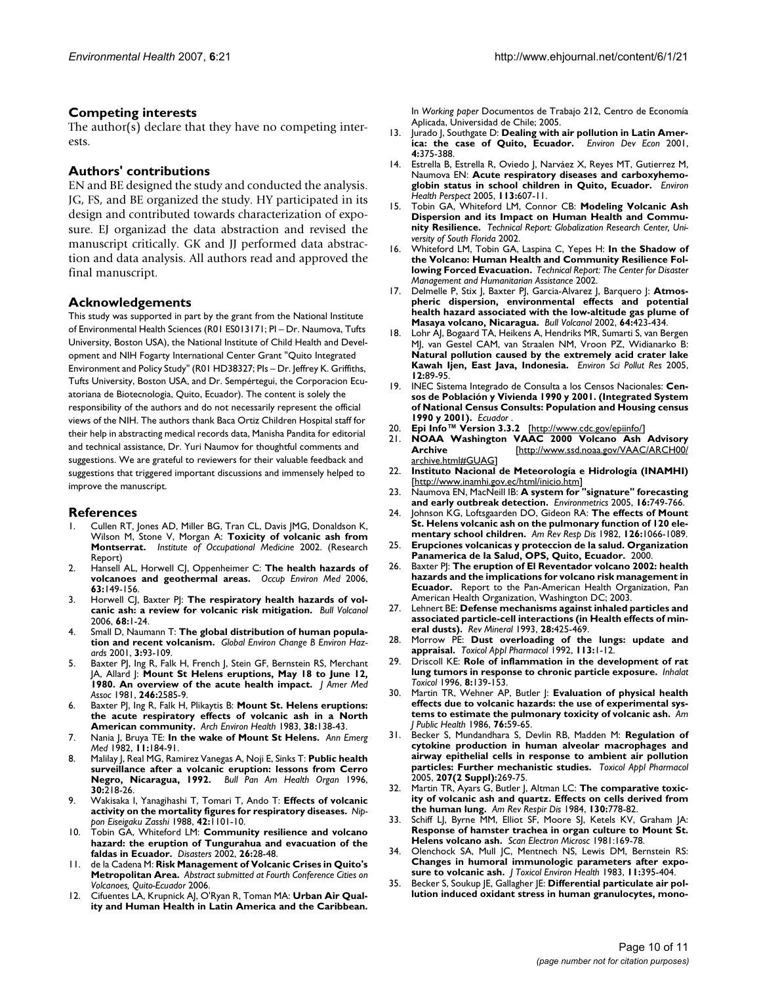# **Competing interests**

The author(s) declare that they have no competing interests.

# **Authors' contributions**

EN and BE designed the study and conducted the analysis. JG, FS, and BE organized the study. HY participated in its design and contributed towards characterization of exposure. EJ organizad the data abstraction and revised the manuscript critically. GK and JJ performed data abstraction and data analysis. All authors read and approved the final manuscript.

# **Acknowledgements**

This study was supported in part by the grant from the National Institute of Environmental Health Sciences (R01 ES013171; PI – Dr. Naumova, Tufts University, Boston USA), the National Institute of Child Health and Development and NIH Fogarty International Center Grant "Quito Integrated Environment and Policy Study" (R01 HD38327; PIs – Dr. Jeffrey K. Griffiths, Tufts University, Boston USA, and Dr. Sempértegui, the Corporacion Ecuatoriana de Biotecnologia, Quito, Ecuador). The content is solely the responsibility of the authors and do not necessarily represent the official views of the NIH. The authors thank Baca Ortiz Children Hospital staff for their help in abstracting medical records data, Manisha Pandita for editorial and technical assistance, Dr. Yuri Naumov for thoughtful comments and suggestions. We are grateful to reviewers for their valuable feedback and suggestions that triggered important discussions and immensely helped to improve the manuscript.

# **References**

- 1. Cullen RT, Jones AD, Miller BG, Tran CL, Davis JMG, Donaldson K, Wilson M, Stone V, Morgan A: **Toxicity of volcanic ash from Montserrat.** *Institute of Occupational Medicine* 2002. (Research Report)
- 2. Hansell AL, Horwell CJ, Oppenheimer C: **[The health hazards of](http://www.ncbi.nlm.nih.gov/entrez/query.fcgi?cmd=Retrieve&db=PubMed&dopt=Abstract&list_uids=16421396) [volcanoes and geothermal areas.](http://www.ncbi.nlm.nih.gov/entrez/query.fcgi?cmd=Retrieve&db=PubMed&dopt=Abstract&list_uids=16421396)** *Occup Environ Med* 2006, **63:**149-156.
- Horwell CJ, Baxter PJ: The respiratory health hazards of vol**canic ash: a review for volcanic risk mitigation.** *Bull Volcanol* 2006, **68:**1-24.
- 4. Small D, Naumann T: **The global distribution of human population and recent volcanism.** *Global Environ Change B Environ Hazards* 2001, **3:**93-109.
- 5. Baxter PJ, Ing R, Falk H, French J, Stein GF, Bernstein RS, Merchant JA, Allard J: **Mount St Helens eruptions, May 18 to June 12, 1980. An overview of the acute health impact.** *J Amer Med Assoc* 1981, **246:**2585-9.
- 6. Baxter PJ, Ing R, Falk H, Plikaytis B: **[Mount St. Helens eruptions:](http://www.ncbi.nlm.nih.gov/entrez/query.fcgi?cmd=Retrieve&db=PubMed&dopt=Abstract&list_uids=6870351) [the acute respiratory effects of volcanic ash in a North](http://www.ncbi.nlm.nih.gov/entrez/query.fcgi?cmd=Retrieve&db=PubMed&dopt=Abstract&list_uids=6870351) [American community.](http://www.ncbi.nlm.nih.gov/entrez/query.fcgi?cmd=Retrieve&db=PubMed&dopt=Abstract&list_uids=6870351)** *Arch Environ Health* 1983, **38:**138-43.
- 7. Nania J, Bruya TE: **[In the wake of Mount St Helens.](http://www.ncbi.nlm.nih.gov/entrez/query.fcgi?cmd=Retrieve&db=PubMed&dopt=Abstract&list_uids=7073033)** *Ann Emerg Med* 1982, **11:**184-91.
- 8. Malilay J, Real MG, Ramirez Vanegas A, Noji E, Sinks T: **[Public health](http://www.ncbi.nlm.nih.gov/entrez/query.fcgi?cmd=Retrieve&db=PubMed&dopt=Abstract&list_uids=8897722) [surveillance after a volcanic eruption: lessons from Cerro](http://www.ncbi.nlm.nih.gov/entrez/query.fcgi?cmd=Retrieve&db=PubMed&dopt=Abstract&list_uids=8897722) [Negro, Nicaragua, 1992.](http://www.ncbi.nlm.nih.gov/entrez/query.fcgi?cmd=Retrieve&db=PubMed&dopt=Abstract&list_uids=8897722)** *Bull Pan Am Health Organ* 1996, **30:**218-26.
- 9. Wakisaka I, Yanagihashi T, Tomari T, Ando T: **[Effects of volcanic](http://www.ncbi.nlm.nih.gov/entrez/query.fcgi?cmd=Retrieve&db=PubMed&dopt=Abstract&list_uids=3398298) [activity on the mortality figures for respiratory diseases.](http://www.ncbi.nlm.nih.gov/entrez/query.fcgi?cmd=Retrieve&db=PubMed&dopt=Abstract&list_uids=3398298)** *Nippon Eiseigaku Zasshi* 1988, **42:**1101-10.
- 10. Tobin GA, Whiteford LM: **[Community resilience and volcano](http://www.ncbi.nlm.nih.gov/entrez/query.fcgi?cmd=Retrieve&db=PubMed&dopt=Abstract&list_uids=11929158) [hazard: the eruption of Tungurahua and evacuation of the](http://www.ncbi.nlm.nih.gov/entrez/query.fcgi?cmd=Retrieve&db=PubMed&dopt=Abstract&list_uids=11929158) [faldas in Ecuador.](http://www.ncbi.nlm.nih.gov/entrez/query.fcgi?cmd=Retrieve&db=PubMed&dopt=Abstract&list_uids=11929158)** *Disasters* 2002, **26:**28-48.
- 11. de la Cadena M: **Risk Management of Volcanic Crises in Quito's Metropolitan Area.** *Abstract submitted at Fourth Conference Cities on Volcanoes, Quito-Ecuador* 2006.
- 12. Cifuentes LA, Krupnick AJ, O'Ryan R, Toman MA: **Urban Air Quality and Human Health in Latin America and the Caribbean.**

In *Working paper* Documentos de Trabajo 212, Centro de Economía Aplicada, Universidad de Chile; 2005.

- 13. Jurado J, Southgate D: **Dealing with air pollution in Latin Amer-**<br>ica: the case of Quito, Ecuador. Environ Dev Econ 2001, ica: the case of Quito, Ecuador. **4:**375-388.
- 14. Estrella B, Estrella R, Oviedo J, Narváez X, Reyes MT, Gutierrez M, Naumova EN: **[Acute respiratory diseases and carboxyhemo](http://www.ncbi.nlm.nih.gov/entrez/query.fcgi?cmd=Retrieve&db=PubMed&dopt=Abstract&list_uids=15866771)[globin status in school children in Quito, Ecuador.](http://www.ncbi.nlm.nih.gov/entrez/query.fcgi?cmd=Retrieve&db=PubMed&dopt=Abstract&list_uids=15866771)** *Environ Health Perspect* 2005, **113:**607-11.
- 15. Tobin GA, Whiteford LM, Connor CB: **Modeling Volcanic Ash Dispersion and its Impact on Human Health and Community Resilience.** *Technical Report: Globalization Research Center, University of South Florida* 2002.
- 16. Whiteford LM, Tobin GA, Laspina C, Yepes H: **In the Shadow of the Volcano: Human Health and Community Resilience Following Forced Evacuation.** *Technical Report: The Center for Disaster Management and Humanitarian Assistance* 2002.
- 17. Delmelle P, Stix J, Baxter PJ, Garcia-Alvarez J, Barquero J: **Atmospheric dispersion, environmental effects and potential health hazard associated with the low-altitude gas plume of Masaya volcano, Nicaragua.** *Bull Volcanol* 2002, **64:**423-434.
- 18. Lohr AJ, Bogaard TA, Heikens A, Hendriks MR, Sumarti S, van Bergen MJ, van Gestel CAM, van Straalen NM, Vroon PZ, Widianarko B: **Natural pollution caused by the extremely acid crater lake Kawah Ijen, East Java, Indonesia.** *Environ Sci Pollut Res* 2005, **12:**89-95.
- 19. INEC Sistema Integrado de Consulta a los Censos Nacionales: **Censos de Población y Vivienda 1990 y 2001. (Integrated System of National Census Consults: Population and Housing census 1990 y 2001).** *Ecuador* .
- 20. **Epi Info™ Version 3.3.2** [[http://www.cdc.gov/epiinfo/\]](http://www.cdc.gov/epiinfo/)
- 21. **NOAA Washington VAAC 2000 Volcano Ash Advisory** Archive [[http://www.ssd.noaa.gov/VAAC/ARCH00/](http://www.ssd.noaa.gov/VAAC/ARCH00/archive.html#GUAG) [archive.html#GUAG](http://www.ssd.noaa.gov/VAAC/ARCH00/archive.html#GUAG)]
- 22. **Instituto Nacional de Meteorología e Hidrología (INAMHI)** [<http://www.inamhi.gov.ec/html/inicio.htm>]
- 23. Naumova EN, MacNeill IB: **A system for "signature" forecasting and early outbreak detection.** *Environmetrics* 2005, **16:**749-766.
- 24. Johnson KG, Loftsgaarden DO, Gideon RA: **[The effects of Mount](http://www.ncbi.nlm.nih.gov/entrez/query.fcgi?cmd=Retrieve&db=PubMed&dopt=Abstract&list_uids=7181226) [St. Helens volcanic ash on the pulmonary function of 120 ele](http://www.ncbi.nlm.nih.gov/entrez/query.fcgi?cmd=Retrieve&db=PubMed&dopt=Abstract&list_uids=7181226)[mentary school children.](http://www.ncbi.nlm.nih.gov/entrez/query.fcgi?cmd=Retrieve&db=PubMed&dopt=Abstract&list_uids=7181226)** *Am Rev Resp Dis* 1982, **126:**1066-1089.
- 25. **Erupciones volcanicas y proteccion de la salud. Organization Panamerica de la Salud, OPS, Quito, Ecuador.** 2000.
- 26. Baxter PJ: **The eruption of El Reventador volcano 2002: health hazards and the implications for volcano risk management in Ecuador.** Report to the Pan-American Health Organization, Pan American Health Organization, Washington DC; 2003.
- 27. Lehnert BE: **Defense mechanisms against inhaled particles and associated particle-cell interactions (in Health effects of mineral dusts).** *Rev Mineral* 1993, **28:**425-469.
- 28. Morrow PE: **[Dust overloading of the lungs: update and](http://www.ncbi.nlm.nih.gov/entrez/query.fcgi?cmd=Retrieve&db=PubMed&dopt=Abstract&list_uids=1553742) [appraisal.](http://www.ncbi.nlm.nih.gov/entrez/query.fcgi?cmd=Retrieve&db=PubMed&dopt=Abstract&list_uids=1553742)** *Toxicol Appl Pharmacol* 1992, **113:**1-12.
- 29. Driscoll KE: **Role of inflammation in the development of rat lung tumors in response to chronic particle exposure.** *Inhalat Toxicol* 1996, **8:**139-153.
- 30. Martin TR, Wehner AP, Butler J: **[Evaluation of physical health](http://www.ncbi.nlm.nih.gov/entrez/query.fcgi?cmd=Retrieve&db=PubMed&dopt=Abstract&list_uids=3080911) [effects due to volcanic hazards: the use of experimental sys](http://www.ncbi.nlm.nih.gov/entrez/query.fcgi?cmd=Retrieve&db=PubMed&dopt=Abstract&list_uids=3080911)[tems to estimate the pulmonary toxicity of volcanic ash.](http://www.ncbi.nlm.nih.gov/entrez/query.fcgi?cmd=Retrieve&db=PubMed&dopt=Abstract&list_uids=3080911)** *Am J Public Health* 1986, **76:**59-65.
- 31. Becker S, Mundandhara S, Devlin RB, Madden M: **[Regulation of](http://www.ncbi.nlm.nih.gov/entrez/query.fcgi?cmd=Retrieve&db=PubMed&dopt=Abstract&list_uids=15993911) cytokine production in human alveolar macrophages and [airway epithelial cells in response to ambient air pollution](http://www.ncbi.nlm.nih.gov/entrez/query.fcgi?cmd=Retrieve&db=PubMed&dopt=Abstract&list_uids=15993911) [particles: Further mechanistic studies.](http://www.ncbi.nlm.nih.gov/entrez/query.fcgi?cmd=Retrieve&db=PubMed&dopt=Abstract&list_uids=15993911)** *Toxicol Appl Pharmacol* 2005, **207(2 Suppl):**269-75.
- 32. Martin TR, Ayars G, Butler J, Altman LC: **[The comparative toxic](http://www.ncbi.nlm.nih.gov/entrez/query.fcgi?cmd=Retrieve&db=PubMed&dopt=Abstract&list_uids=6093654)[ity of volcanic ash and quartz. Effects on cells derived from](http://www.ncbi.nlm.nih.gov/entrez/query.fcgi?cmd=Retrieve&db=PubMed&dopt=Abstract&list_uids=6093654) [the human lung.](http://www.ncbi.nlm.nih.gov/entrez/query.fcgi?cmd=Retrieve&db=PubMed&dopt=Abstract&list_uids=6093654)** *Am Rev Respir Dis* 1984, **130:**778-82.
- Schiff LJ, Byrne MM, Elliot SF, Moore SJ, Ketels KV, Graham JA: **[Response of hamster trachea in organ culture to Mount St.](http://www.ncbi.nlm.nih.gov/entrez/query.fcgi?cmd=Retrieve&db=PubMed&dopt=Abstract&list_uids=7323724) [Helens volcano ash.](http://www.ncbi.nlm.nih.gov/entrez/query.fcgi?cmd=Retrieve&db=PubMed&dopt=Abstract&list_uids=7323724)** *Scan Electron Microsc* 1981:169-78.
- 34. Olenchock SA, Mull JC, Mentnech NS, Lewis DM, Bernstein RS: **[Changes in humoral immunologic parameters after expo](http://www.ncbi.nlm.nih.gov/entrez/query.fcgi?cmd=Retrieve&db=PubMed&dopt=Abstract&list_uids=6601725)[sure to volcanic ash.](http://www.ncbi.nlm.nih.gov/entrez/query.fcgi?cmd=Retrieve&db=PubMed&dopt=Abstract&list_uids=6601725)** *J Toxicol Environ Health* 1983, **11:**395-404.
- Becker S, Soukup JE, Gallagher JE: [Differential particulate air pol](http://www.ncbi.nlm.nih.gov/entrez/query.fcgi?cmd=Retrieve&db=PubMed&dopt=Abstract&list_uids=12020593)**[lution induced oxidant stress in human granulocytes, mono](http://www.ncbi.nlm.nih.gov/entrez/query.fcgi?cmd=Retrieve&db=PubMed&dopt=Abstract&list_uids=12020593)-**